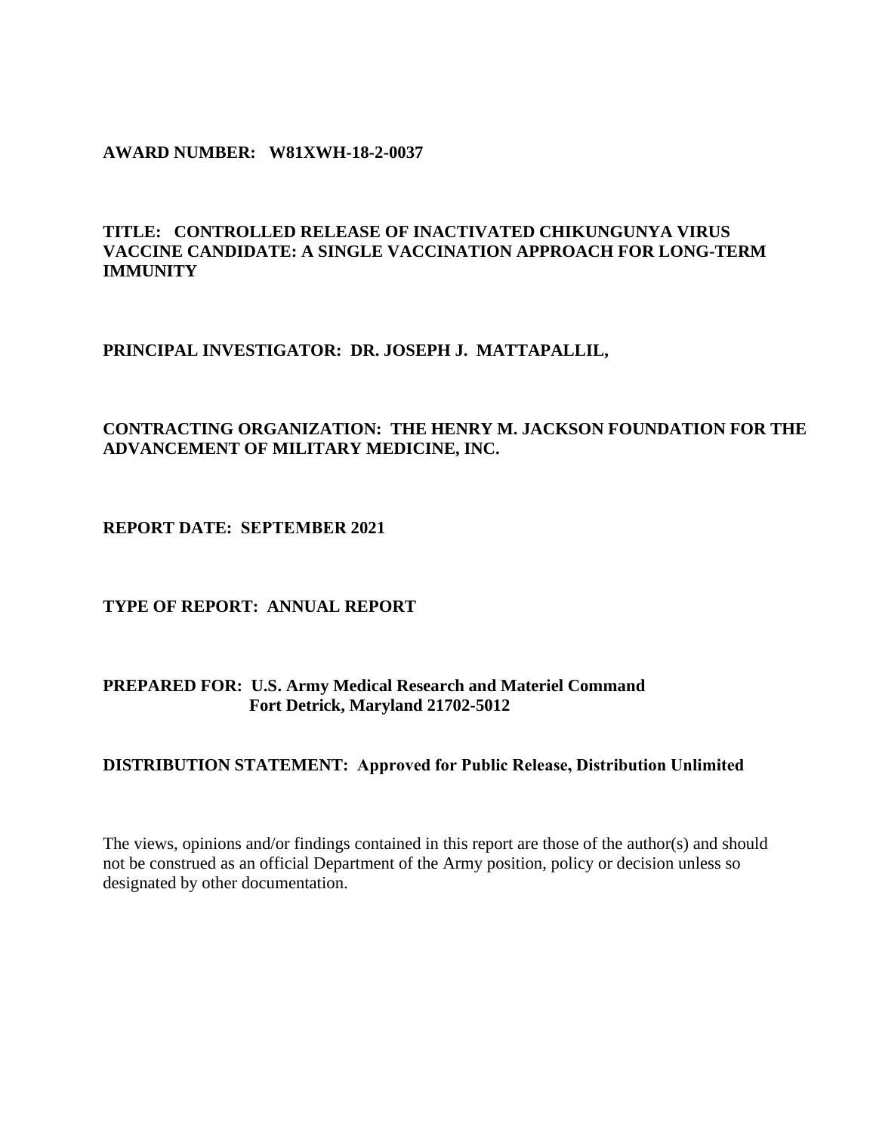### **AWARD NUMBER: W81XWH-18-2-0037**

## **TITLE: CONTROLLED RELEASE OF INACTIVATED CHIKUNGUNYA VIRUS VACCINE CANDIDATE: A SINGLE VACCINATION APPROACH FOR LONG-TERM IMMUNITY**

### **PRINCIPAL INVESTIGATOR: DR. JOSEPH J. MATTAPALLIL,**

## **CONTRACTING ORGANIZATION: THE HENRY M. JACKSON FOUNDATION FOR THE ADVANCEMENT OF MILITARY MEDICINE, INC.**

**REPORT DATE: SEPTEMBER 2021** 

**TYPE OF REPORT: ANNUAL REPORT**

## **PREPARED FOR: U.S. Army Medical Research and Materiel Command Fort Detrick, Maryland 21702-5012**

### **DISTRIBUTION STATEMENT: Approved for Public Release, Distribution Unlimited**

The views, opinions and/or findings contained in this report are those of the author(s) and should not be construed as an official Department of the Army position, policy or decision unless so designated by other documentation.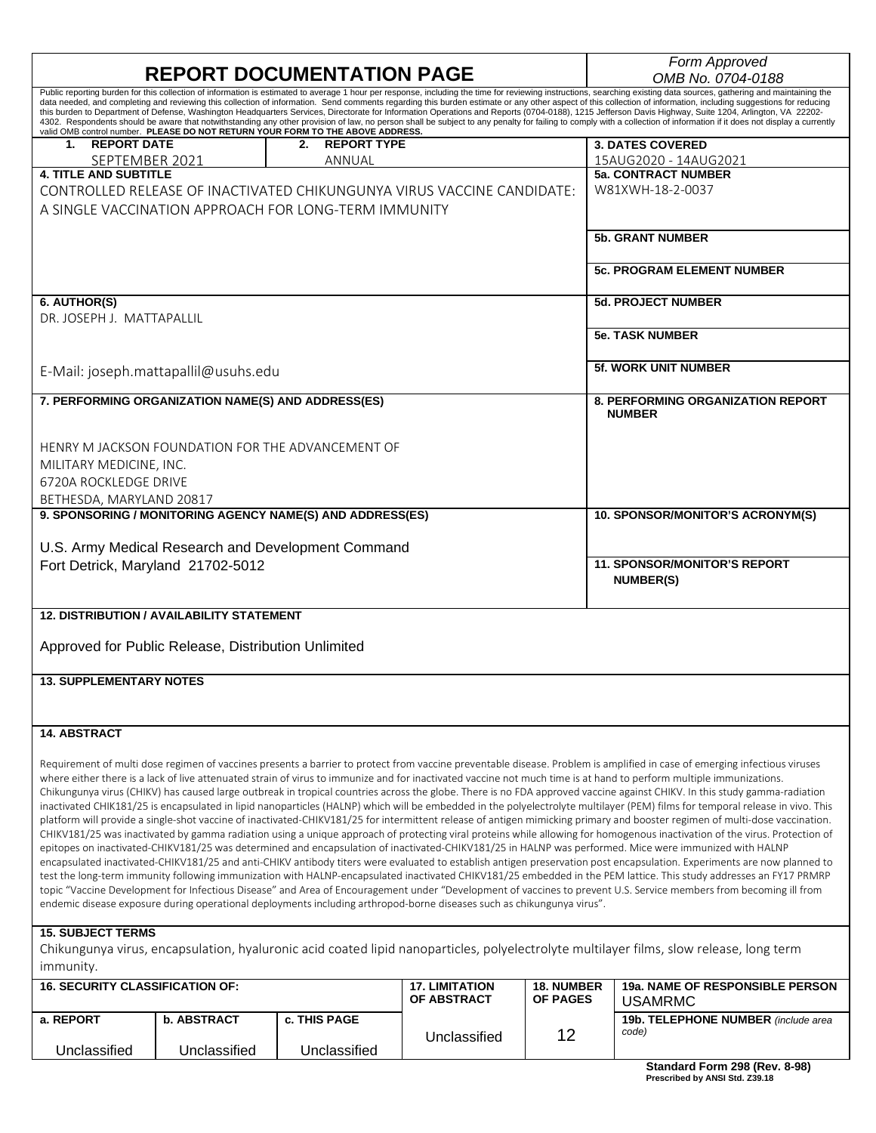|                                                                                                                                                                                                                                                                                                                                                                                      |                                                                                                                                                                                                                                                                                                                                                                                                                            | Form Approved                            |  |  |
|--------------------------------------------------------------------------------------------------------------------------------------------------------------------------------------------------------------------------------------------------------------------------------------------------------------------------------------------------------------------------------------|----------------------------------------------------------------------------------------------------------------------------------------------------------------------------------------------------------------------------------------------------------------------------------------------------------------------------------------------------------------------------------------------------------------------------|------------------------------------------|--|--|
|                                                                                                                                                                                                                                                                                                                                                                                      | <b>REPORT DOCUMENTATION PAGE</b>                                                                                                                                                                                                                                                                                                                                                                                           | OMB No. 0704-0188                        |  |  |
|                                                                                                                                                                                                                                                                                                                                                                                      | Public reporting burden for this collection of information is estimated to average 1 hour per response, including the time for reviewing instructions, searching existing data sources, gathering and maintaining the                                                                                                                                                                                                      |                                          |  |  |
|                                                                                                                                                                                                                                                                                                                                                                                      | data needed, and completing and reviewing this collection of information. Send comments regarding this burden estimate or any other aspect of this collection of information, including suggestions for reducing<br>this burden to Department of Defense, Washington Headquarters Services, Directorate for Information Operations and Reports (0704-0188), 1215 Jefferson Davis Highway, Suite 1204, Arlington, VA 22202- |                                          |  |  |
|                                                                                                                                                                                                                                                                                                                                                                                      | 4302. Respondents should be aware that notwithstanding any other provision of law, no person shall be subject to any penalty for failing to comply with a collection of information if it does not display a currently                                                                                                                                                                                                     |                                          |  |  |
| valid OMB control number. PLEASE DO NOT RETURN YOUR FORM TO THE ABOVE ADDRESS.<br>1. REPORT DATE                                                                                                                                                                                                                                                                                     | <b>REPORT TYPE</b><br>2.                                                                                                                                                                                                                                                                                                                                                                                                   | <b>3. DATES COVERED</b>                  |  |  |
|                                                                                                                                                                                                                                                                                                                                                                                      | ANNUAL                                                                                                                                                                                                                                                                                                                                                                                                                     | 15AUG2020 - 14AUG2021                    |  |  |
| SEPTEMBER 2021<br><b>4. TITLE AND SUBTITLE</b>                                                                                                                                                                                                                                                                                                                                       |                                                                                                                                                                                                                                                                                                                                                                                                                            | <b>5a. CONTRACT NUMBER</b>               |  |  |
|                                                                                                                                                                                                                                                                                                                                                                                      | CONTROLLED RELEASE OF INACTIVATED CHIKUNGUNYA VIRUS VACCINE CANDIDATE:                                                                                                                                                                                                                                                                                                                                                     | W81XWH-18-2-0037                         |  |  |
|                                                                                                                                                                                                                                                                                                                                                                                      |                                                                                                                                                                                                                                                                                                                                                                                                                            |                                          |  |  |
| A SINGLE VACCINATION APPROACH FOR LONG-TERM IMMUNITY                                                                                                                                                                                                                                                                                                                                 |                                                                                                                                                                                                                                                                                                                                                                                                                            |                                          |  |  |
|                                                                                                                                                                                                                                                                                                                                                                                      |                                                                                                                                                                                                                                                                                                                                                                                                                            | <b>5b. GRANT NUMBER</b>                  |  |  |
|                                                                                                                                                                                                                                                                                                                                                                                      |                                                                                                                                                                                                                                                                                                                                                                                                                            |                                          |  |  |
|                                                                                                                                                                                                                                                                                                                                                                                      |                                                                                                                                                                                                                                                                                                                                                                                                                            |                                          |  |  |
|                                                                                                                                                                                                                                                                                                                                                                                      |                                                                                                                                                                                                                                                                                                                                                                                                                            | <b>5c. PROGRAM ELEMENT NUMBER</b>        |  |  |
|                                                                                                                                                                                                                                                                                                                                                                                      |                                                                                                                                                                                                                                                                                                                                                                                                                            |                                          |  |  |
| 6. AUTHOR(S)                                                                                                                                                                                                                                                                                                                                                                         |                                                                                                                                                                                                                                                                                                                                                                                                                            | <b>5d. PROJECT NUMBER</b>                |  |  |
| DR. JOSEPH J. MATTAPALLIL                                                                                                                                                                                                                                                                                                                                                            |                                                                                                                                                                                                                                                                                                                                                                                                                            |                                          |  |  |
|                                                                                                                                                                                                                                                                                                                                                                                      |                                                                                                                                                                                                                                                                                                                                                                                                                            | <b>5e. TASK NUMBER</b>                   |  |  |
|                                                                                                                                                                                                                                                                                                                                                                                      |                                                                                                                                                                                                                                                                                                                                                                                                                            |                                          |  |  |
| E-Mail: joseph.mattapallil@usuhs.edu                                                                                                                                                                                                                                                                                                                                                 |                                                                                                                                                                                                                                                                                                                                                                                                                            | <b>5f. WORK UNIT NUMBER</b>              |  |  |
|                                                                                                                                                                                                                                                                                                                                                                                      |                                                                                                                                                                                                                                                                                                                                                                                                                            |                                          |  |  |
| 7. PERFORMING ORGANIZATION NAME(S) AND ADDRESS(ES)                                                                                                                                                                                                                                                                                                                                   |                                                                                                                                                                                                                                                                                                                                                                                                                            | <b>8. PERFORMING ORGANIZATION REPORT</b> |  |  |
|                                                                                                                                                                                                                                                                                                                                                                                      |                                                                                                                                                                                                                                                                                                                                                                                                                            | <b>NUMBER</b>                            |  |  |
|                                                                                                                                                                                                                                                                                                                                                                                      |                                                                                                                                                                                                                                                                                                                                                                                                                            |                                          |  |  |
| HENRY M JACKSON FOUNDATION FOR THE ADVANCEMENT OF                                                                                                                                                                                                                                                                                                                                    |                                                                                                                                                                                                                                                                                                                                                                                                                            |                                          |  |  |
| MILITARY MEDICINE, INC.                                                                                                                                                                                                                                                                                                                                                              |                                                                                                                                                                                                                                                                                                                                                                                                                            |                                          |  |  |
| 6720A ROCKLEDGE DRIVE                                                                                                                                                                                                                                                                                                                                                                |                                                                                                                                                                                                                                                                                                                                                                                                                            |                                          |  |  |
| BETHESDA, MARYLAND 20817                                                                                                                                                                                                                                                                                                                                                             |                                                                                                                                                                                                                                                                                                                                                                                                                            |                                          |  |  |
| 9. SPONSORING / MONITORING AGENCY NAME(S) AND ADDRESS(ES)                                                                                                                                                                                                                                                                                                                            |                                                                                                                                                                                                                                                                                                                                                                                                                            | 10. SPONSOR/MONITOR'S ACRONYM(S)         |  |  |
|                                                                                                                                                                                                                                                                                                                                                                                      |                                                                                                                                                                                                                                                                                                                                                                                                                            |                                          |  |  |
| U.S. Army Medical Research and Development Command                                                                                                                                                                                                                                                                                                                                   |                                                                                                                                                                                                                                                                                                                                                                                                                            |                                          |  |  |
| Fort Detrick, Maryland 21702-5012                                                                                                                                                                                                                                                                                                                                                    |                                                                                                                                                                                                                                                                                                                                                                                                                            | <b>11. SPONSOR/MONITOR'S REPORT</b>      |  |  |
|                                                                                                                                                                                                                                                                                                                                                                                      |                                                                                                                                                                                                                                                                                                                                                                                                                            | <b>NUMBER(S)</b>                         |  |  |
|                                                                                                                                                                                                                                                                                                                                                                                      |                                                                                                                                                                                                                                                                                                                                                                                                                            |                                          |  |  |
| <b>12. DISTRIBUTION / AVAILABILITY STATEMENT</b>                                                                                                                                                                                                                                                                                                                                     |                                                                                                                                                                                                                                                                                                                                                                                                                            |                                          |  |  |
|                                                                                                                                                                                                                                                                                                                                                                                      |                                                                                                                                                                                                                                                                                                                                                                                                                            |                                          |  |  |
|                                                                                                                                                                                                                                                                                                                                                                                      |                                                                                                                                                                                                                                                                                                                                                                                                                            |                                          |  |  |
| Approved for Public Release, Distribution Unlimited                                                                                                                                                                                                                                                                                                                                  |                                                                                                                                                                                                                                                                                                                                                                                                                            |                                          |  |  |
|                                                                                                                                                                                                                                                                                                                                                                                      |                                                                                                                                                                                                                                                                                                                                                                                                                            |                                          |  |  |
| <b>13. SUPPLEMENTARY NOTES</b>                                                                                                                                                                                                                                                                                                                                                       |                                                                                                                                                                                                                                                                                                                                                                                                                            |                                          |  |  |
|                                                                                                                                                                                                                                                                                                                                                                                      |                                                                                                                                                                                                                                                                                                                                                                                                                            |                                          |  |  |
|                                                                                                                                                                                                                                                                                                                                                                                      |                                                                                                                                                                                                                                                                                                                                                                                                                            |                                          |  |  |
| <b>14. ABSTRACT</b>                                                                                                                                                                                                                                                                                                                                                                  |                                                                                                                                                                                                                                                                                                                                                                                                                            |                                          |  |  |
|                                                                                                                                                                                                                                                                                                                                                                                      |                                                                                                                                                                                                                                                                                                                                                                                                                            |                                          |  |  |
|                                                                                                                                                                                                                                                                                                                                                                                      | Requirement of multi dose regimen of vaccines presents a barrier to protect from vaccine preventable disease. Problem is amplified in case of emerging infectious viruses                                                                                                                                                                                                                                                  |                                          |  |  |
|                                                                                                                                                                                                                                                                                                                                                                                      | where either there is a lack of live attenuated strain of virus to immunize and for inactivated vaccine not much time is at hand to perform multiple immunizations.                                                                                                                                                                                                                                                        |                                          |  |  |
| Chikungunya virus (CHIKV) has caused large outbreak in tropical countries across the globe. There is no FDA approved vaccine against CHIKV. In this study gamma-radiation                                                                                                                                                                                                            |                                                                                                                                                                                                                                                                                                                                                                                                                            |                                          |  |  |
| inactivated CHIK181/25 is encapsulated in lipid nanoparticles (HALNP) which will be embedded in the polyelectrolyte multilayer (PEM) films for temporal release in vivo. This                                                                                                                                                                                                        |                                                                                                                                                                                                                                                                                                                                                                                                                            |                                          |  |  |
| platform will provide a single-shot vaccine of inactivated-CHIKV181/25 for intermittent release of antigen mimicking primary and booster regimen of multi-dose vaccination.                                                                                                                                                                                                          |                                                                                                                                                                                                                                                                                                                                                                                                                            |                                          |  |  |
| CHIKV181/25 was inactivated by gamma radiation using a unique approach of protecting viral proteins while allowing for homogenous inactivation of the virus. Protection of                                                                                                                                                                                                           |                                                                                                                                                                                                                                                                                                                                                                                                                            |                                          |  |  |
| epitopes on inactivated-CHIKV181/25 was determined and encapsulation of inactivated-CHIKV181/25 in HALNP was performed. Mice were immunized with HALNP                                                                                                                                                                                                                               |                                                                                                                                                                                                                                                                                                                                                                                                                            |                                          |  |  |
| encapsulated inactivated-CHIKV181/25 and anti-CHIKV antibody titers were evaluated to establish antigen preservation post encapsulation. Experiments are now planned to<br>test the long-term immunity following immunization with HALNP-encapsulated inactivated CHIKV181/25 embedded in the PEM lattice. This study addresses an FY17 PRMRP                                        |                                                                                                                                                                                                                                                                                                                                                                                                                            |                                          |  |  |
| topic "Vaccine Development for Infectious Disease" and Area of Encouragement under "Development of vaccines to prevent U.S. Service members from becoming ill from                                                                                                                                                                                                                   |                                                                                                                                                                                                                                                                                                                                                                                                                            |                                          |  |  |
|                                                                                                                                                                                                                                                                                                                                                                                      | endemic disease exposure during operational deployments including arthropod-borne diseases such as chikungunya virus".                                                                                                                                                                                                                                                                                                     |                                          |  |  |
|                                                                                                                                                                                                                                                                                                                                                                                      |                                                                                                                                                                                                                                                                                                                                                                                                                            |                                          |  |  |
| $\overline{1}$ $\overline{0}$ $\overline{1}$ $\overline{1}$ $\overline{0}$ $\overline{1}$ $\overline{0}$ $\overline{0}$ $\overline{0}$ $\overline{0}$ $\overline{0}$ $\overline{0}$ $\overline{0}$ $\overline{0}$ $\overline{0}$ $\overline{0}$ $\overline{0}$ $\overline{0}$ $\overline{0}$ $\overline{0}$ $\overline{0}$ $\overline{0}$ $\overline{0}$ $\overline{0}$ $\overline{$ |                                                                                                                                                                                                                                                                                                                                                                                                                            |                                          |  |  |

#### **15. SUBJECT TERMS**

Chikungunya virus, encapsulation, hyaluronic acid coated lipid nanoparticles, polyelectrolyte multilayer films, slow release, long term immunity.

| <b>16. SECURITY CLASSIFICATION OF:</b> |                                    | <b>17. LIMITATION</b>        | <b>18. NUMBER</b> | <b>19a. NAME OF RESPONSIBLE PERSON</b> |                                                     |
|----------------------------------------|------------------------------------|------------------------------|-------------------|----------------------------------------|-----------------------------------------------------|
|                                        |                                    | <b>OF ABSTRACT</b>           | <b>OF PAGES</b>   | USAMRMC                                |                                                     |
| a. REPORT<br>Unclassified              | <b>b. ABSTRACT</b><br>Unclassified | c. THIS PAGE<br>Unclassified | Unclassified      |                                        | <b>19b. TELEPHONE NUMBER</b> (include area<br>code) |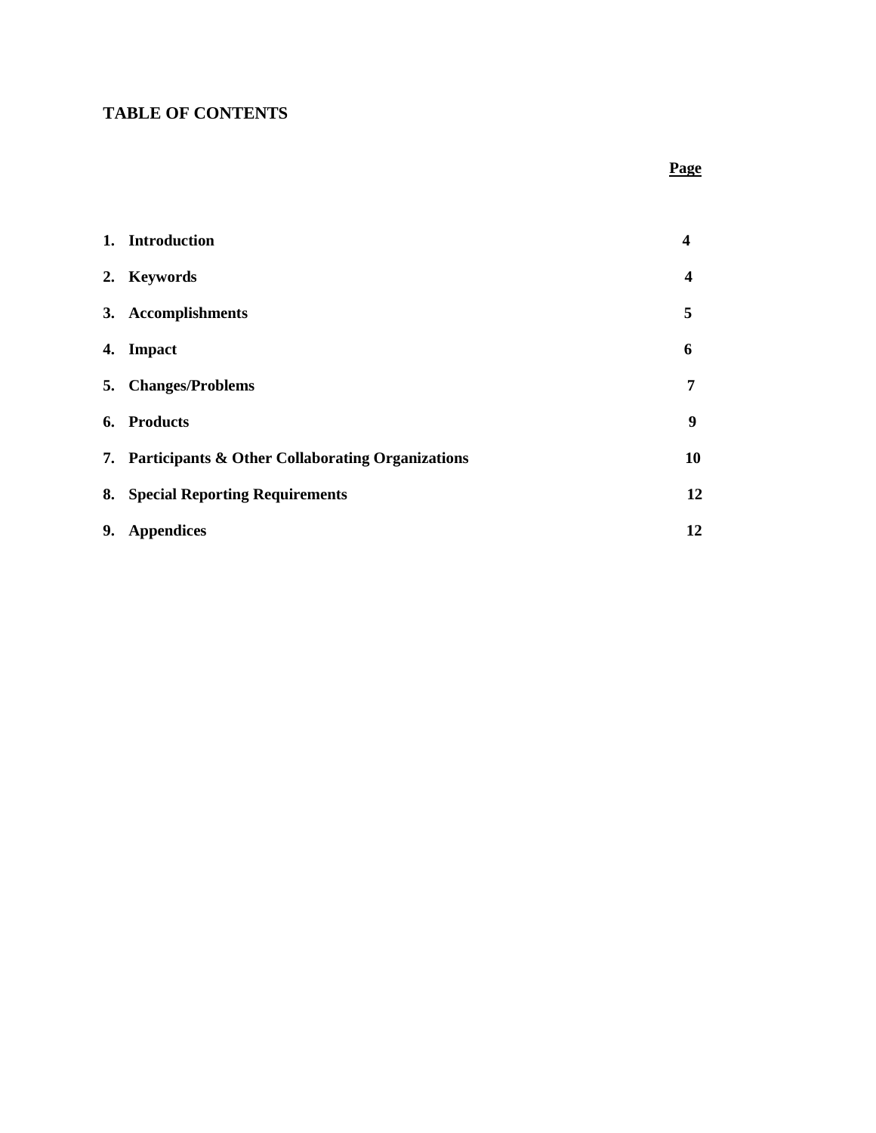# **TABLE OF CONTENTS**

## **Page**

|    | 1. Introduction                                     | 4  |
|----|-----------------------------------------------------|----|
|    | 2. Keywords                                         | 4  |
|    | 3. Accomplishments                                  | 5  |
| 4. | <b>Impact</b>                                       | 6  |
| 5. | <b>Changes/Problems</b>                             | 7  |
|    | 6. Products                                         | 9  |
|    | 7. Participants & Other Collaborating Organizations | 10 |
|    | 8. Special Reporting Requirements                   | 12 |
| 9. | <b>Appendices</b>                                   | 12 |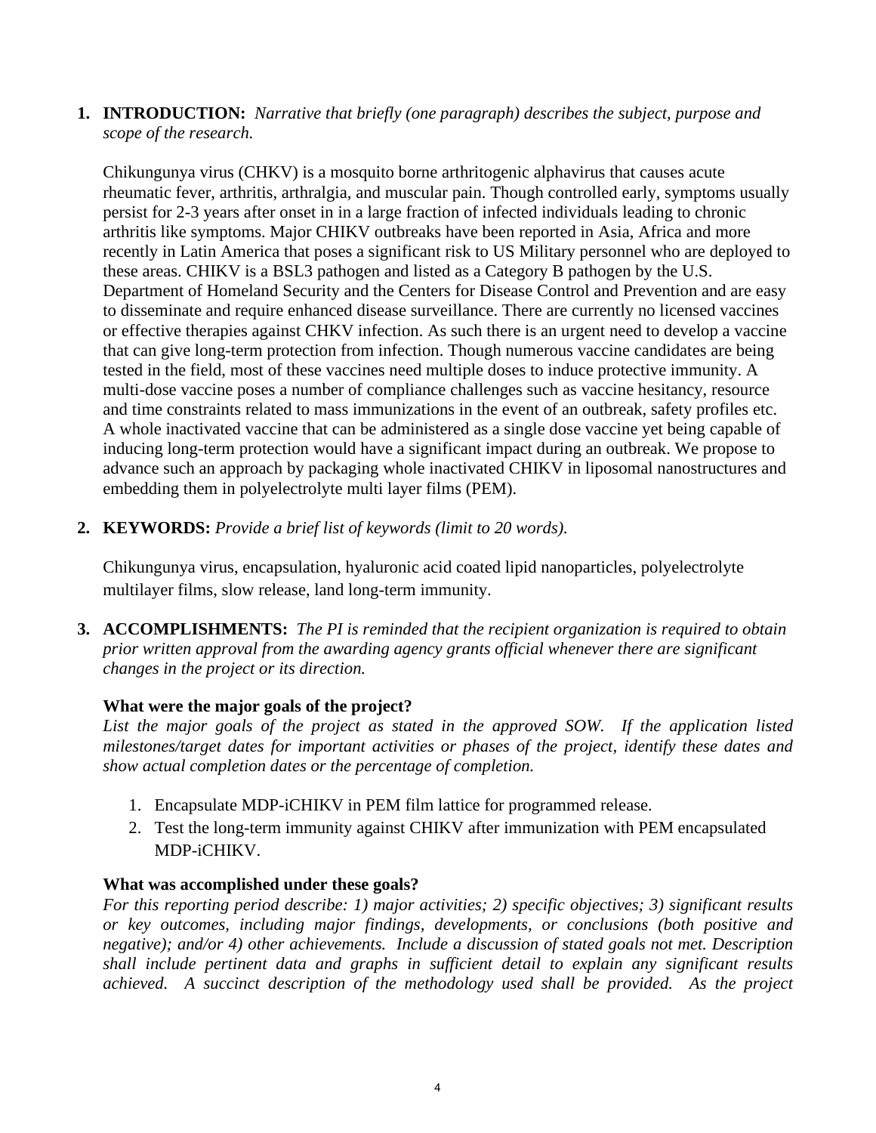**1. INTRODUCTION:** *Narrative that briefly (one paragraph) describes the subject, purpose and scope of the research.*

Chikungunya virus (CHKV) is a mosquito borne arthritogenic alphavirus that causes acute rheumatic fever, arthritis, arthralgia, and muscular pain. Though controlled early, symptoms usually persist for 2-3 years after onset in in a large fraction of infected individuals leading to chronic arthritis like symptoms. Major CHIKV outbreaks have been reported in Asia, Africa and more recently in Latin America that poses a significant risk to US Military personnel who are deployed to these areas. CHIKV is a BSL3 pathogen and listed as a Category B pathogen by the U.S. Department of Homeland Security and the Centers for Disease Control and Prevention and are easy to disseminate and require enhanced disease surveillance. There are currently no licensed vaccines or effective therapies against CHKV infection. As such there is an urgent need to develop a vaccine that can give long-term protection from infection. Though numerous vaccine candidates are being tested in the field, most of these vaccines need multiple doses to induce protective immunity. A multi-dose vaccine poses a number of compliance challenges such as vaccine hesitancy, resource and time constraints related to mass immunizations in the event of an outbreak, safety profiles etc. A whole inactivated vaccine that can be administered as a single dose vaccine yet being capable of inducing long-term protection would have a significant impact during an outbreak. We propose to advance such an approach by packaging whole inactivated CHIKV in liposomal nanostructures and embedding them in polyelectrolyte multi layer films (PEM).

**2. KEYWORDS:** *Provide a brief list of keywords (limit to 20 words).*

Chikungunya virus, encapsulation, hyaluronic acid coated lipid nanoparticles, polyelectrolyte multilayer films, slow release, land long-term immunity.

**3. ACCOMPLISHMENTS:** *The PI is reminded that the recipient organization is required to obtain prior written approval from the awarding agency grants official whenever there are significant changes in the project or its direction.*

## **What were the major goals of the project?**

*List the major goals of the project as stated in the approved SOW. If the application listed milestones/target dates for important activities or phases of the project, identify these dates and show actual completion dates or the percentage of completion.*

- 1. Encapsulate MDP-iCHIKV in PEM film lattice for programmed release.
- 2. Test the long-term immunity against CHIKV after immunization with PEM encapsulated MDP-iCHIKV.

# **What was accomplished under these goals?**

*For this reporting period describe: 1) major activities; 2) specific objectives; 3) significant results or key outcomes, including major findings, developments, or conclusions (both positive and negative); and/or 4) other achievements. Include a discussion of stated goals not met. Description shall include pertinent data and graphs in sufficient detail to explain any significant results achieved. A succinct description of the methodology used shall be provided. As the project*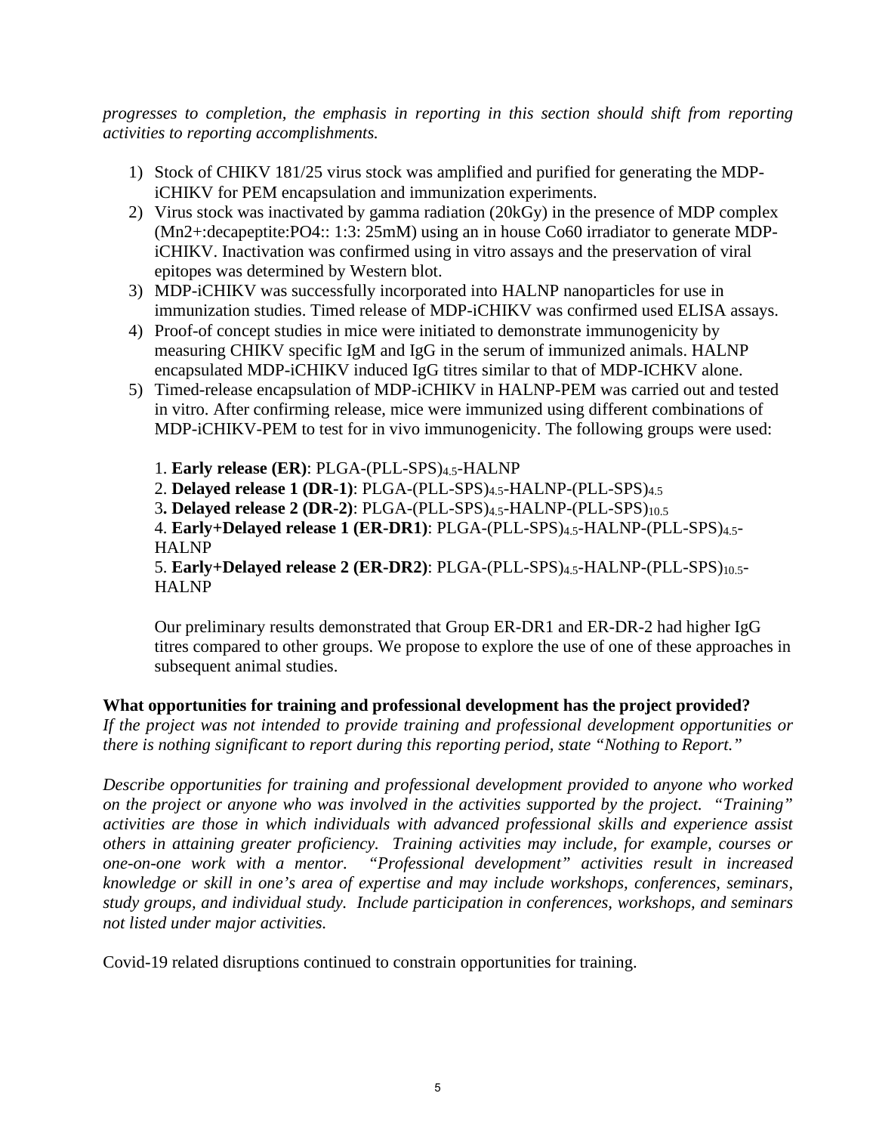*progresses to completion, the emphasis in reporting in this section should shift from reporting activities to reporting accomplishments.* 

- 1) Stock of CHIKV 181/25 virus stock was amplified and purified for generating the MDPiCHIKV for PEM encapsulation and immunization experiments.
- 2) Virus stock was inactivated by gamma radiation (20kGy) in the presence of MDP complex (Mn2+:decapeptite:PO4:: 1:3: 25mM) using an in house Co60 irradiator to generate MDPiCHIKV. Inactivation was confirmed using in vitro assays and the preservation of viral epitopes was determined by Western blot.
- 3) MDP-iCHIKV was successfully incorporated into HALNP nanoparticles for use in immunization studies. Timed release of MDP-iCHIKV was confirmed used ELISA assays.
- 4) Proof-of concept studies in mice were initiated to demonstrate immunogenicity by measuring CHIKV specific IgM and IgG in the serum of immunized animals. HALNP encapsulated MDP-iCHIKV induced IgG titres similar to that of MDP-ICHKV alone.
- 5) Timed-release encapsulation of MDP-iCHIKV in HALNP-PEM was carried out and tested in vitro. After confirming release, mice were immunized using different combinations of MDP-iCHIKV-PEM to test for in vivo immunogenicity. The following groups were used:

1. **Early release (ER)**: PLGA-(PLL-SPS)4.5-HALNP 2. **Delayed release 1 (DR-1)**: PLGA-(PLL-SPS)4.5-HALNP-(PLL-SPS)4.5 3**. Delayed release 2 (DR-2)**: PLGA-(PLL-SPS)4.5-HALNP-(PLL-SPS)10.5 4. **Early+Delayed release 1 (ER-DR1)**: PLGA-(PLL-SPS)4.5-HALNP-(PLL-SPS)4.5- HALNP 5. **Early+Delayed release 2 (ER-DR2)**: PLGA-(PLL-SPS)4.5-HALNP-(PLL-SPS)10.5- **HALNP** 

Our preliminary results demonstrated that Group ER-DR1 and ER-DR-2 had higher IgG titres compared to other groups. We propose to explore the use of one of these approaches in subsequent animal studies.

### **What opportunities for training and professional development has the project provided?**

*If the project was not intended to provide training and professional development opportunities or there is nothing significant to report during this reporting period, state "Nothing to Report."*

*Describe opportunities for training and professional development provided to anyone who worked on the project or anyone who was involved in the activities supported by the project. "Training" activities are those in which individuals with advanced professional skills and experience assist others in attaining greater proficiency. Training activities may include, for example, courses or one-on-one work with a mentor. "Professional development" activities result in increased knowledge or skill in one's area of expertise and may include workshops, conferences, seminars, study groups, and individual study. Include participation in conferences, workshops, and seminars not listed under major activities.* 

Covid-19 related disruptions continued to constrain opportunities for training.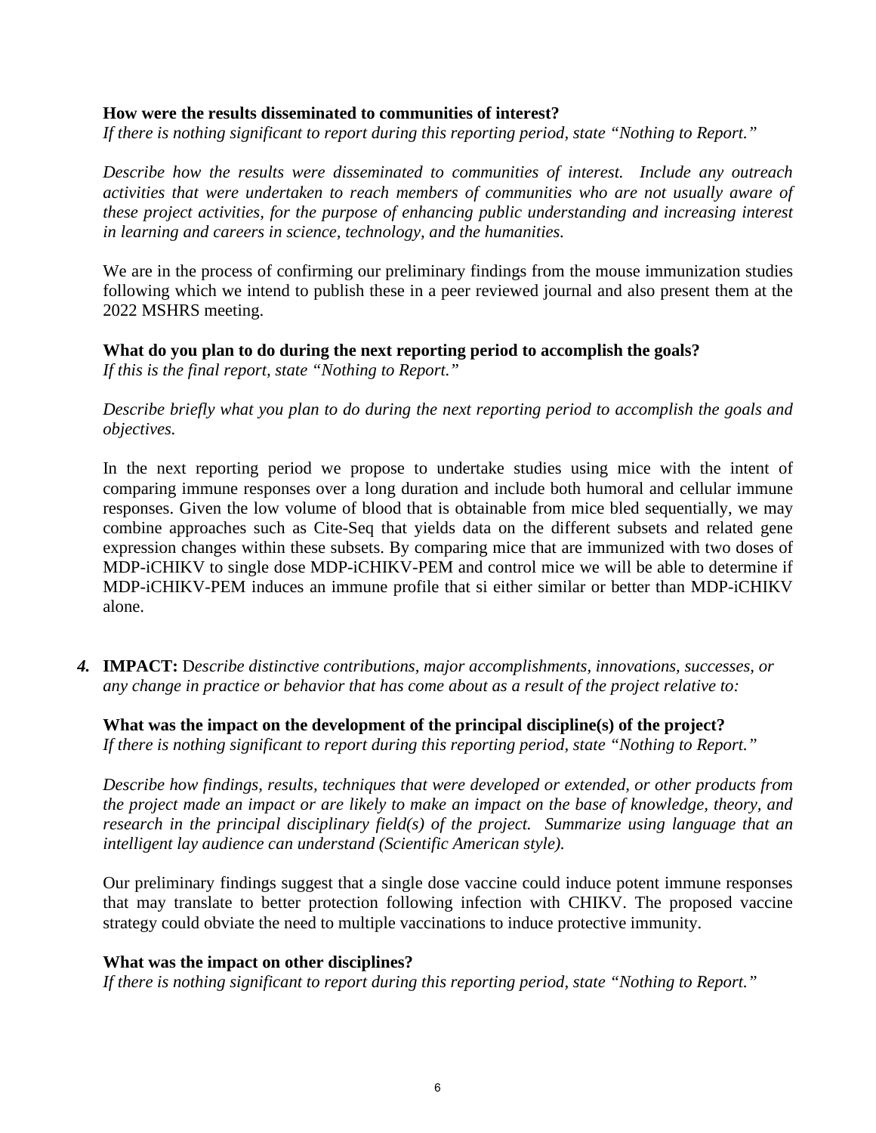#### **How were the results disseminated to communities of interest?**

*If there is nothing significant to report during this reporting period, state "Nothing to Report."*

*Describe how the results were disseminated to communities of interest. Include any outreach activities that were undertaken to reach members of communities who are not usually aware of these project activities, for the purpose of enhancing public understanding and increasing interest in learning and careers in science, technology, and the humanities.* 

We are in the process of confirming our preliminary findings from the mouse immunization studies following which we intend to publish these in a peer reviewed journal and also present them at the 2022 MSHRS meeting.

### **What do you plan to do during the next reporting period to accomplish the goals?**

*If this is the final report, state "Nothing to Report."* 

*Describe briefly what you plan to do during the next reporting period to accomplish the goals and objectives.* 

In the next reporting period we propose to undertake studies using mice with the intent of comparing immune responses over a long duration and include both humoral and cellular immune responses. Given the low volume of blood that is obtainable from mice bled sequentially, we may combine approaches such as Cite-Seq that yields data on the different subsets and related gene expression changes within these subsets. By comparing mice that are immunized with two doses of MDP-iCHIKV to single dose MDP-iCHIKV-PEM and control mice we will be able to determine if MDP-iCHIKV-PEM induces an immune profile that si either similar or better than MDP-iCHIKV alone.

*4.* **IMPACT:** D*escribe distinctive contributions, major accomplishments, innovations, successes, or any change in practice or behavior that has come about as a result of the project relative to:*

### **What was the impact on the development of the principal discipline(s) of the project?**

*If there is nothing significant to report during this reporting period, state "Nothing to Report."*

*Describe how findings, results, techniques that were developed or extended, or other products from the project made an impact or are likely to make an impact on the base of knowledge, theory, and research in the principal disciplinary field(s) of the project. Summarize using language that an intelligent lay audience can understand (Scientific American style).*

Our preliminary findings suggest that a single dose vaccine could induce potent immune responses that may translate to better protection following infection with CHIKV. The proposed vaccine strategy could obviate the need to multiple vaccinations to induce protective immunity.

### **What was the impact on other disciplines?**

*If there is nothing significant to report during this reporting period, state "Nothing to Report."*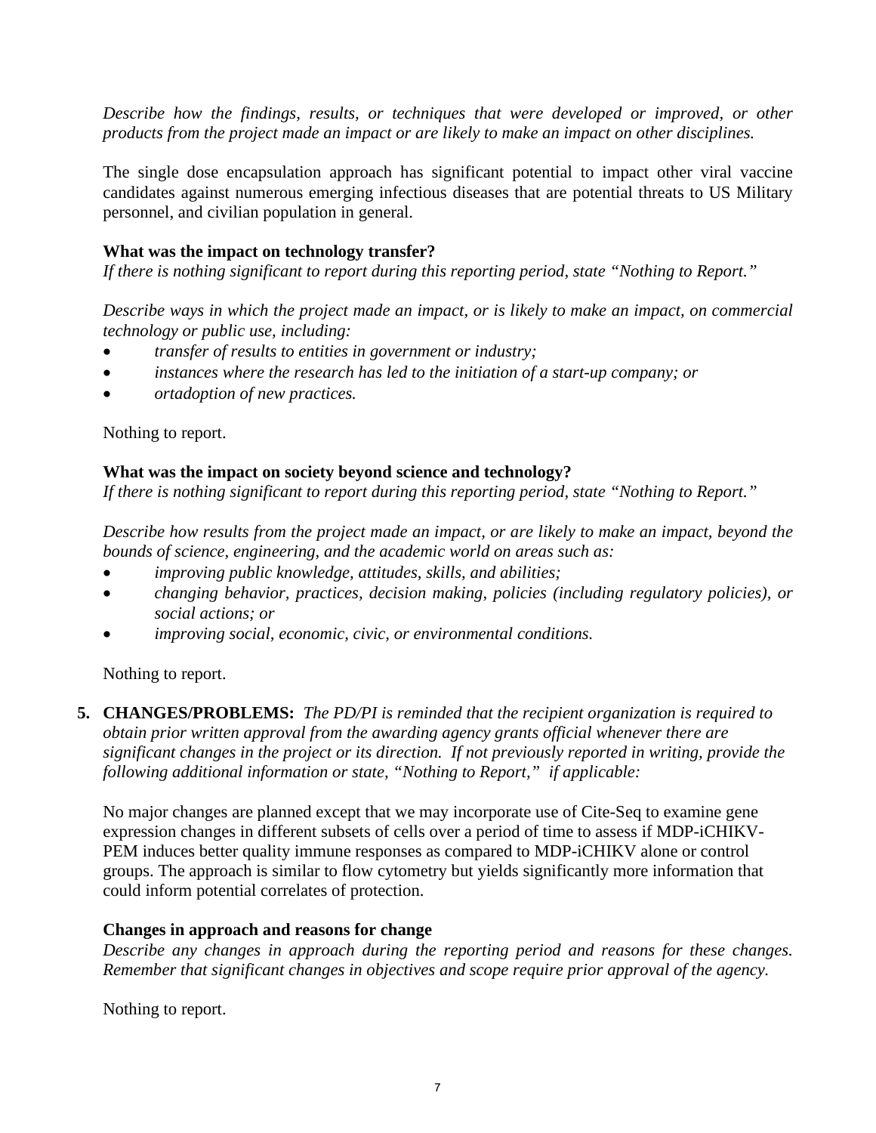*Describe how the findings, results, or techniques that were developed or improved, or other products from the project made an impact or are likely to make an impact on other disciplines.* 

The single dose encapsulation approach has significant potential to impact other viral vaccine candidates against numerous emerging infectious diseases that are potential threats to US Military personnel, and civilian population in general.

## **What was the impact on technology transfer?**

*If there is nothing significant to report during this reporting period, state "Nothing to Report."*

*Describe ways in which the project made an impact, or is likely to make an impact, on commercial technology or public use, including:* 

- *transfer of results to entities in government or industry;*
- *instances where the research has led to the initiation of a start-up company; or*
- *ortadoption of new practices.*

Nothing to report.

### **What was the impact on society beyond science and technology?**

*If there is nothing significant to report during this reporting period, state "Nothing to Report."*

*Describe how results from the project made an impact, or are likely to make an impact, beyond the bounds of science, engineering, and the academic world on areas such as:*

- *improving public knowledge, attitudes, skills, and abilities;*
- *changing behavior, practices, decision making, policies (including regulatory policies), or social actions; or*
- *improving social, economic, civic, or environmental conditions.*

Nothing to report.

**5. CHANGES/PROBLEMS:** *The PD/PI is reminded that the recipient organization is required to obtain prior written approval from the awarding agency grants official whenever there are significant changes in the project or its direction. If not previously reported in writing, provide the following additional information or state, "Nothing to Report," if applicable:*

No major changes are planned except that we may incorporate use of Cite-Seq to examine gene expression changes in different subsets of cells over a period of time to assess if MDP-iCHIKV-PEM induces better quality immune responses as compared to MDP-iCHIKV alone or control groups. The approach is similar to flow cytometry but yields significantly more information that could inform potential correlates of protection.

### **Changes in approach and reasons for change**

*Describe any changes in approach during the reporting period and reasons for these changes. Remember that significant changes in objectives and scope require prior approval of the agency.*

Nothing to report.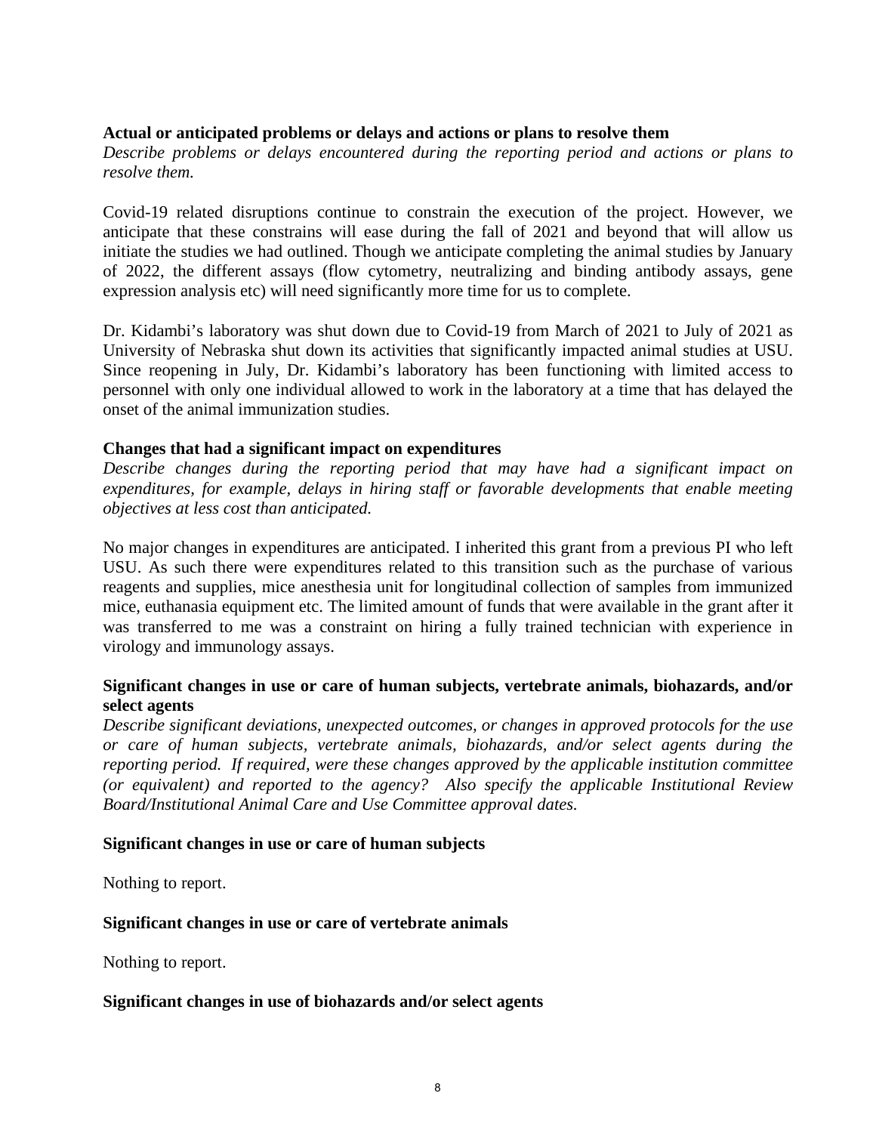### **Actual or anticipated problems or delays and actions or plans to resolve them**

*Describe problems or delays encountered during the reporting period and actions or plans to resolve them.*

Covid-19 related disruptions continue to constrain the execution of the project. However, we anticipate that these constrains will ease during the fall of 2021 and beyond that will allow us initiate the studies we had outlined. Though we anticipate completing the animal studies by January of 2022, the different assays (flow cytometry, neutralizing and binding antibody assays, gene expression analysis etc) will need significantly more time for us to complete.

Dr. Kidambi's laboratory was shut down due to Covid-19 from March of 2021 to July of 2021 as University of Nebraska shut down its activities that significantly impacted animal studies at USU. Since reopening in July, Dr. Kidambi's laboratory has been functioning with limited access to personnel with only one individual allowed to work in the laboratory at a time that has delayed the onset of the animal immunization studies.

#### **Changes that had a significant impact on expenditures**

*Describe changes during the reporting period that may have had a significant impact on expenditures, for example, delays in hiring staff or favorable developments that enable meeting objectives at less cost than anticipated.* 

No major changes in expenditures are anticipated. I inherited this grant from a previous PI who left USU. As such there were expenditures related to this transition such as the purchase of various reagents and supplies, mice anesthesia unit for longitudinal collection of samples from immunized mice, euthanasia equipment etc. The limited amount of funds that were available in the grant after it was transferred to me was a constraint on hiring a fully trained technician with experience in virology and immunology assays.

## **Significant changes in use or care of human subjects, vertebrate animals, biohazards, and/or select agents**

*Describe significant deviations, unexpected outcomes, or changes in approved protocols for the use or care of human subjects, vertebrate animals, biohazards, and/or select agents during the reporting period. If required, were these changes approved by the applicable institution committee (or equivalent) and reported to the agency? Also specify the applicable Institutional Review Board/Institutional Animal Care and Use Committee approval dates.* 

### **Significant changes in use or care of human subjects**

Nothing to report.

### **Significant changes in use or care of vertebrate animals**

Nothing to report.

#### **Significant changes in use of biohazards and/or select agents**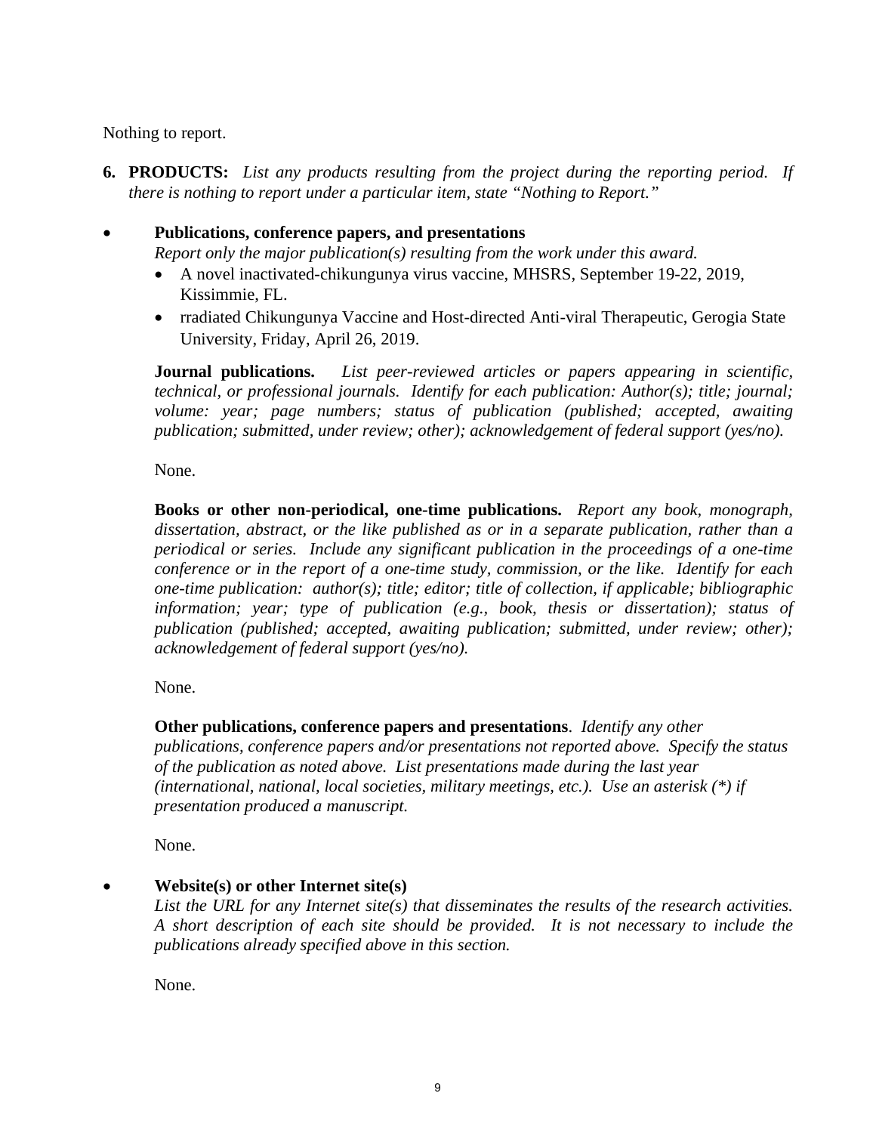Nothing to report.

- **6. PRODUCTS:** *List any products resulting from the project during the reporting period. If there is nothing to report under a particular item, state "Nothing to Report."*
- **Publications, conference papers, and presentations** *Report only the major publication(s) resulting from the work under this award.*
	- A novel inactivated-chikungunya virus vaccine, MHSRS, September 19-22, 2019, Kissimmie, FL.
	- rradiated Chikungunya Vaccine and Host-directed Anti-viral Therapeutic, Gerogia State University, Friday, April 26, 2019.

**Journal publications.** *List peer-reviewed articles or papers appearing in scientific, technical, or professional journals. Identify for each publication: Author(s); title; journal; volume: year; page numbers; status of publication (published; accepted, awaiting publication; submitted, under review; other); acknowledgement of federal support (yes/no).* 

None.

**Books or other non-periodical, one-time publications.** *Report any book, monograph, dissertation, abstract, or the like published as or in a separate publication, rather than a periodical or series. Include any significant publication in the proceedings of a one-time conference or in the report of a one-time study, commission, or the like. Identify for each one-time publication: author(s); title; editor; title of collection, if applicable; bibliographic information; year; type of publication (e.g., book, thesis or dissertation); status of publication (published; accepted, awaiting publication; submitted, under review; other); acknowledgement of federal support (yes/no).* 

None.

**Other publications, conference papers and presentations**. *Identify any other* 

*publications, conference papers and/or presentations not reported above. Specify the status of the publication as noted above. List presentations made during the last year (international, national, local societies, military meetings, etc.). Use an asterisk (\*) if presentation produced a manuscript.* 

None.

• **Website(s) or other Internet site(s)**

*List the URL for any Internet site(s) that disseminates the results of the research activities. A short description of each site should be provided. It is not necessary to include the publications already specified above in this section.*

None.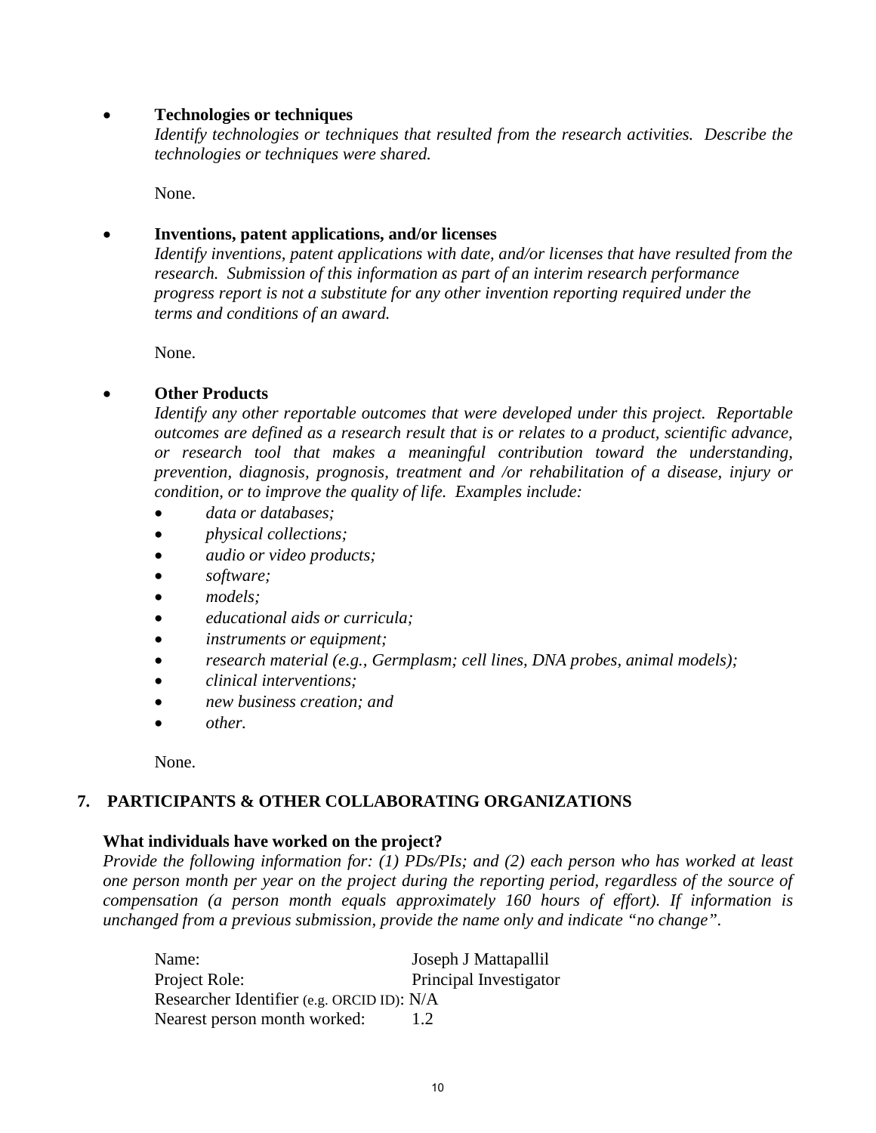## • **Technologies or techniques**

*Identify technologies or techniques that resulted from the research activities. Describe the technologies or techniques were shared.*

None.

## • **Inventions, patent applications, and/or licenses**

*Identify inventions, patent applications with date, and/or licenses that have resulted from the research. Submission of this information as part of an interim research performance progress report is not a substitute for any other invention reporting required under the terms and conditions of an award.*

None.

## • **Other Products**

*Identify any other reportable outcomes that were developed under this project. Reportable outcomes are defined as a research result that is or relates to a product, scientific advance, or research tool that makes a meaningful contribution toward the understanding, prevention, diagnosis, prognosis, treatment and /or rehabilitation of a disease, injury or condition, or to improve the quality of life. Examples include:*

- *data or databases;*
- *physical collections;*
- *audio or video products;*
- *software;*
- *models;*
- *educational aids or curricula;*
- *instruments or equipment;*
- *research material (e.g., Germplasm; cell lines, DNA probes, animal models);*
- *clinical interventions;*
- *new business creation; and*
- *other.*

None.

## **7. PARTICIPANTS & OTHER COLLABORATING ORGANIZATIONS**

### **What individuals have worked on the project?**

*Provide the following information for: (1) PDs/PIs; and (2) each person who has worked at least one person month per year on the project during the reporting period, regardless of the source of compensation (a person month equals approximately 160 hours of effort). If information is unchanged from a previous submission, provide the name only and indicate "no change".*

| Name:                                      | Joseph J Mattapallil   |
|--------------------------------------------|------------------------|
| Project Role:                              | Principal Investigator |
| Researcher Identifier (e.g. ORCID ID): N/A |                        |
| Nearest person month worked:               | 1.2                    |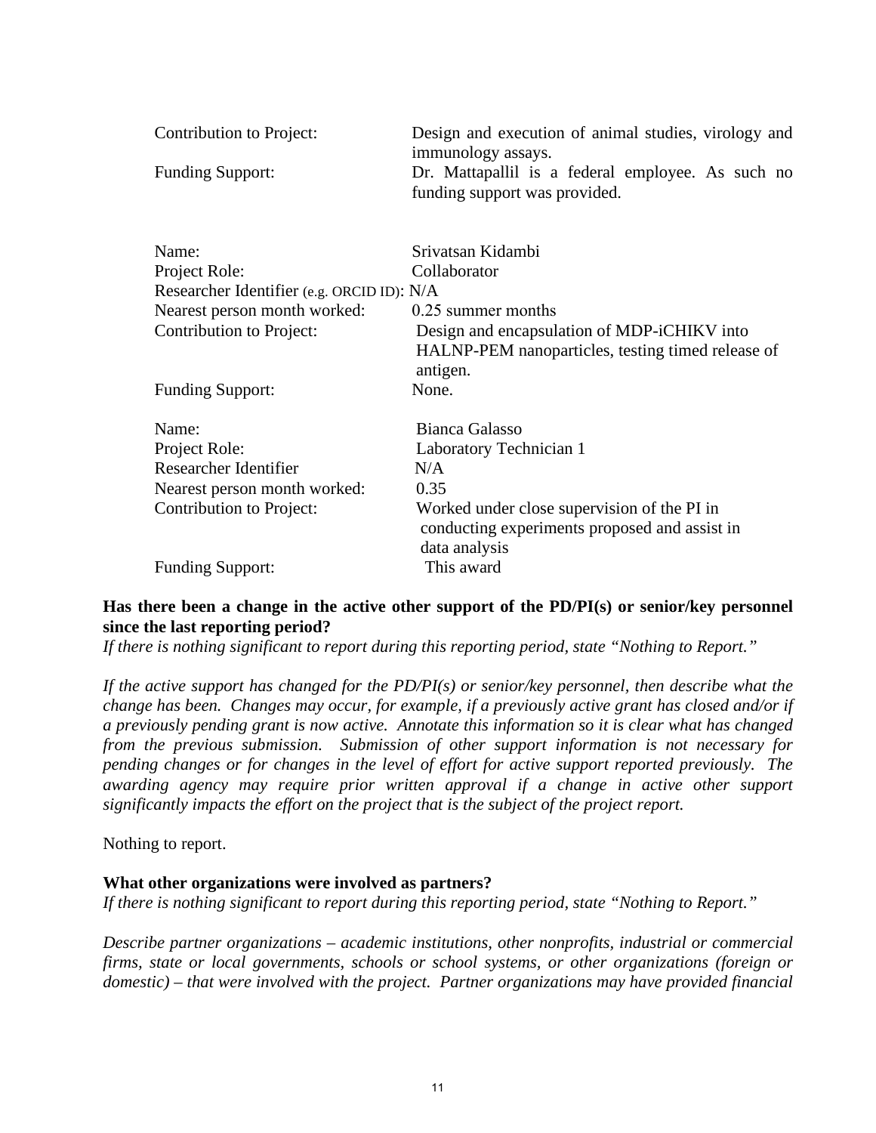| Contribution to Project:                   | Design and execution of animal studies, virology and<br>immunology assays.                                    |
|--------------------------------------------|---------------------------------------------------------------------------------------------------------------|
| <b>Funding Support:</b>                    | Dr. Mattapallil is a federal employee. As such no<br>funding support was provided.                            |
| Name:                                      | Srivatsan Kidambi                                                                                             |
| Project Role:                              | Collaborator                                                                                                  |
| Researcher Identifier (e.g. ORCID ID): N/A |                                                                                                               |
| Nearest person month worked:               | 0.25 summer months                                                                                            |
| Contribution to Project:                   | Design and encapsulation of MDP-iCHIKV into<br>HALNP-PEM nanoparticles, testing timed release of<br>antigen.  |
| <b>Funding Support:</b>                    | None.                                                                                                         |
| Name:                                      | <b>Bianca Galasso</b>                                                                                         |
| Project Role:                              | Laboratory Technician 1                                                                                       |
| Researcher Identifier                      | N/A                                                                                                           |
| Nearest person month worked:               | 0.35                                                                                                          |
| Contribution to Project:                   | Worked under close supervision of the PI in<br>conducting experiments proposed and assist in<br>data analysis |
| <b>Funding Support:</b>                    | This award                                                                                                    |

## **Has there been a change in the active other support of the PD/PI(s) or senior/key personnel since the last reporting period?**

*If there is nothing significant to report during this reporting period, state "Nothing to Report."* 

*If the active support has changed for the PD/PI(s) or senior/key personnel, then describe what the change has been. Changes may occur, for example, if a previously active grant has closed and/or if a previously pending grant is now active. Annotate this information so it is clear what has changed from the previous submission. Submission of other support information is not necessary for pending changes or for changes in the level of effort for active support reported previously. The awarding agency may require prior written approval if a change in active other support significantly impacts the effort on the project that is the subject of the project report.* 

Nothing to report.

### **What other organizations were involved as partners?**

*If there is nothing significant to report during this reporting period, state "Nothing to Report."* 

*Describe partner organizations – academic institutions, other nonprofits, industrial or commercial firms, state or local governments, schools or school systems, or other organizations (foreign or domestic) – that were involved with the project. Partner organizations may have provided financial*